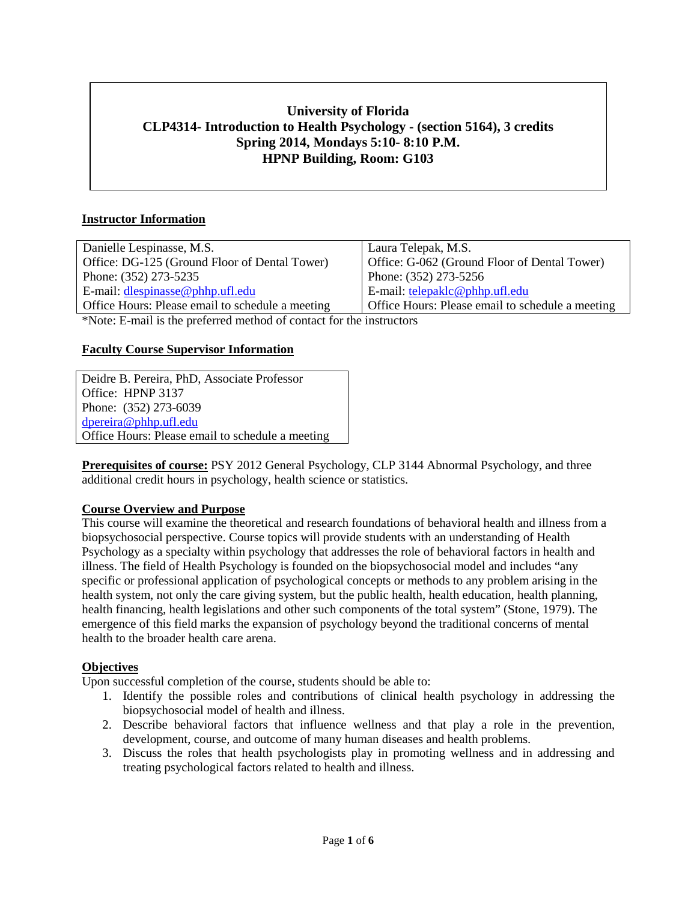# **University of Florida CLP4314- Introduction to Health Psychology - (section 5164), 3 credits Spring 2014, Mondays 5:10- 8:10 P.M. HPNP Building, Room: G103**

# **Instructor Information**

| Danielle Lespinasse, M.S.                        | Laura Telepak, M.S.                              |
|--------------------------------------------------|--------------------------------------------------|
| Office: DG-125 (Ground Floor of Dental Tower)    | Office: G-062 (Ground Floor of Dental Tower)     |
| Phone: (352) 273-5235                            | Phone: (352) 273-5256                            |
| E-mail: $d$ lespinasse@phhp.ufl.edu              | E-mail: telepaklc@phhp.ufl.edu                   |
| Office Hours: Please email to schedule a meeting | Office Hours: Please email to schedule a meeting |
|                                                  |                                                  |

\*Note: E-mail is the preferred method of contact for the instructors

### **Faculty Course Supervisor Information**

Deidre B. Pereira, PhD, Associate Professor Office: HPNP 3137 Phone: (352) 273-6039 [dpereira@phhp.ufl.edu](mailto:dpereira@phhp.ufl.edu) Office Hours: Please email to schedule a meeting

**Prerequisites of course:** PSY 2012 General Psychology, CLP 3144 Abnormal Psychology, and three additional credit hours in psychology, health science or statistics.

#### **Course Overview and Purpose**

This course will examine the theoretical and research foundations of behavioral health and illness from a biopsychosocial perspective. Course topics will provide students with an understanding of Health Psychology as a specialty within psychology that addresses the role of behavioral factors in health and illness. The field of Health Psychology is founded on the biopsychosocial model and includes "any specific or professional application of psychological concepts or methods to any problem arising in the health system, not only the care giving system, but the public health, health education, health planning, health financing, health legislations and other such components of the total system" (Stone, 1979). The emergence of this field marks the expansion of psychology beyond the traditional concerns of mental health to the broader health care arena.

#### **Objectives**

Upon successful completion of the course, students should be able to:

- 1. Identify the possible roles and contributions of clinical health psychology in addressing the biopsychosocial model of health and illness.
- 2. Describe behavioral factors that influence wellness and that play a role in the prevention, development, course, and outcome of many human diseases and health problems.
- 3. Discuss the roles that health psychologists play in promoting wellness and in addressing and treating psychological factors related to health and illness.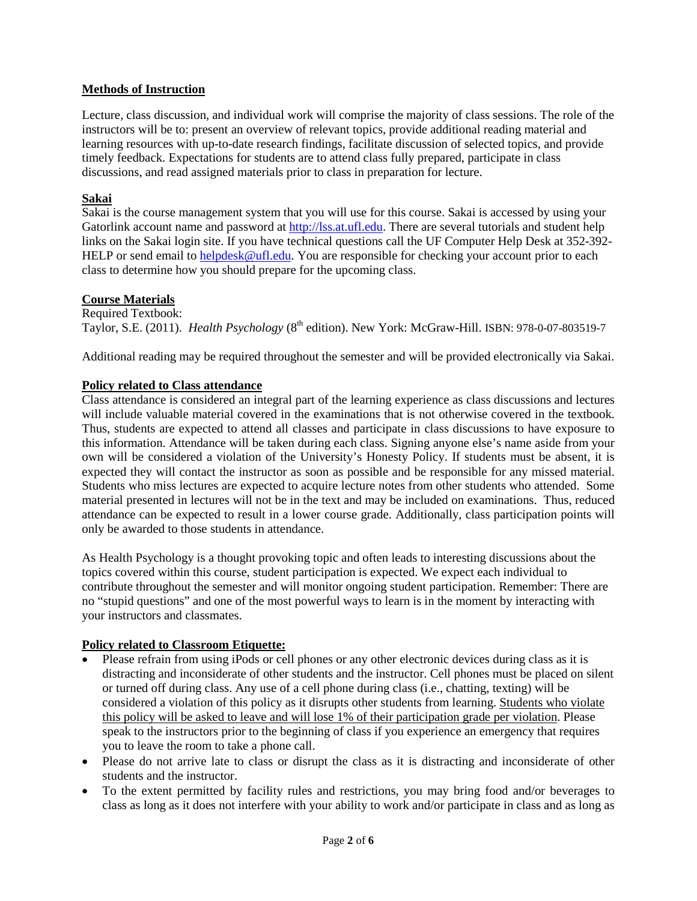## **Methods of Instruction**

Lecture, class discussion, and individual work will comprise the majority of class sessions. The role of the instructors will be to: present an overview of relevant topics, provide additional reading material and learning resources with up-to-date research findings, facilitate discussion of selected topics, and provide timely feedback. Expectations for students are to attend class fully prepared, participate in class discussions, and read assigned materials prior to class in preparation for lecture.

## **Sakai**

Sakai is the course management system that you will use for this course. Sakai is accessed by using your Gatorlink account name and password at [http://lss.at.ufl.edu.](http://lss.at.ufl.edu/) There are several tutorials and student help links on the Sakai login site. If you have technical questions call the UF Computer Help Desk at 352-392 HELP or send email to [helpdesk@ufl.edu.](mailto:helpdesk@ufl.edu) You are responsible for checking your account prior to each class to determine how you should prepare for the upcoming class.

### **Course Materials**

Required Textbook: Taylor, S.E. (2011). *Health Psychology* (8th edition). New York: McGraw-Hill. ISBN: 978-0-07-803519-7

Additional reading may be required throughout the semester and will be provided electronically via Sakai.

### **Policy related to Class attendance**

Class attendance is considered an integral part of the learning experience as class discussions and lectures will include valuable material covered in the examinations that is not otherwise covered in the textbook. Thus, students are expected to attend all classes and participate in class discussions to have exposure to this information. Attendance will be taken during each class. Signing anyone else's name aside from your own will be considered a violation of the University's Honesty Policy. If students must be absent, it is expected they will contact the instructor as soon as possible and be responsible for any missed material. Students who miss lectures are expected to acquire lecture notes from other students who attended. Some material presented in lectures will not be in the text and may be included on examinations. Thus, reduced attendance can be expected to result in a lower course grade. Additionally, class participation points will only be awarded to those students in attendance.

As Health Psychology is a thought provoking topic and often leads to interesting discussions about the topics covered within this course, student participation is expected. We expect each individual to contribute throughout the semester and will monitor ongoing student participation. Remember: There are no "stupid questions" and one of the most powerful ways to learn is in the moment by interacting with your instructors and classmates.

# **Policy related to Classroom Etiquette:**

- Please refrain from using iPods or cell phones or any other electronic devices during class as it is distracting and inconsiderate of other students and the instructor. Cell phones must be placed on silent or turned off during class. Any use of a cell phone during class (i.e., chatting, texting) will be considered a violation of this policy as it disrupts other students from learning. Students who violate this policy will be asked to leave and will lose 1% of their participation grade per violation. Please speak to the instructors prior to the beginning of class if you experience an emergency that requires you to leave the room to take a phone call.
- Please do not arrive late to class or disrupt the class as it is distracting and inconsiderate of other students and the instructor.
- To the extent permitted by facility rules and restrictions, you may bring food and/or beverages to class as long as it does not interfere with your ability to work and/or participate in class and as long as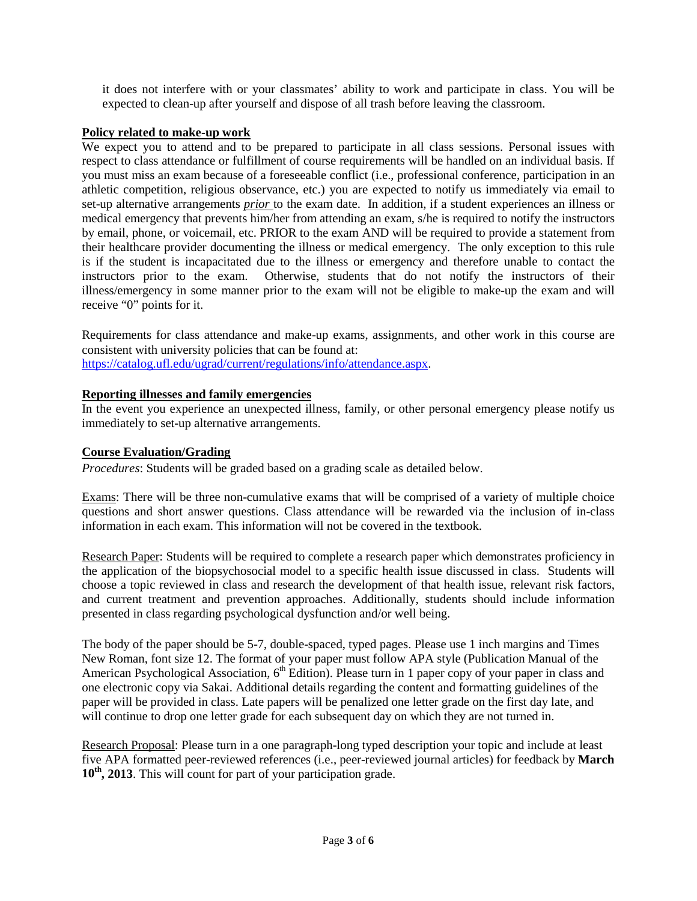it does not interfere with or your classmates' ability to work and participate in class. You will be expected to clean-up after yourself and dispose of all trash before leaving the classroom.

## **Policy related to make-up work**

We expect you to attend and to be prepared to participate in all class sessions. Personal issues with respect to class attendance or fulfillment of course requirements will be handled on an individual basis. If you must miss an exam because of a foreseeable conflict (i.e., professional conference, participation in an athletic competition, religious observance, etc.) you are expected to notify us immediately via email to set-up alternative arrangements *prior* to the exam date. In addition, if a student experiences an illness or medical emergency that prevents him/her from attending an exam, s/he is required to notify the instructors by email, phone, or voicemail, etc. PRIOR to the exam AND will be required to provide a statement from their healthcare provider documenting the illness or medical emergency. The only exception to this rule is if the student is incapacitated due to the illness or emergency and therefore unable to contact the instructors prior to the exam. Otherwise, students that do not notify the instructors of their illness/emergency in some manner prior to the exam will not be eligible to make-up the exam and will receive "0" points for it.

Requirements for class attendance and make-up exams, assignments, and other work in this course are consistent with university policies that can be found at: [https://catalog.ufl.edu/ugrad/current/regulations/info/attendance.aspx.](https://catalog.ufl.edu/ugrad/current/regulations/info/attendance.aspx)

### **Reporting illnesses and family emergencies**

In the event you experience an unexpected illness, family, or other personal emergency please notify us immediately to set-up alternative arrangements.

#### **Course Evaluation/Grading**

*Procedures*: Students will be graded based on a grading scale as detailed below.

Exams: There will be three non-cumulative exams that will be comprised of a variety of multiple choice questions and short answer questions. Class attendance will be rewarded via the inclusion of in-class information in each exam. This information will not be covered in the textbook.

Research Paper: Students will be required to complete a research paper which demonstrates proficiency in the application of the biopsychosocial model to a specific health issue discussed in class. Students will choose a topic reviewed in class and research the development of that health issue, relevant risk factors, and current treatment and prevention approaches. Additionally, students should include information presented in class regarding psychological dysfunction and/or well being.

The body of the paper should be 5-7, double-spaced, typed pages. Please use 1 inch margins and Times New Roman, font size 12. The format of your paper must follow APA style (Publication Manual of the American Psychological Association, 6<sup>th</sup> Edition). Please turn in 1 paper copy of your paper in class and one electronic copy via Sakai. Additional details regarding the content and formatting guidelines of the paper will be provided in class. Late papers will be penalized one letter grade on the first day late, and will continue to drop one letter grade for each subsequent day on which they are not turned in.

Research Proposal: Please turn in a one paragraph-long typed description your topic and include at least five APA formatted peer-reviewed references (i.e., peer-reviewed journal articles) for feedback by **March 10th, 2013**. This will count for part of your participation grade.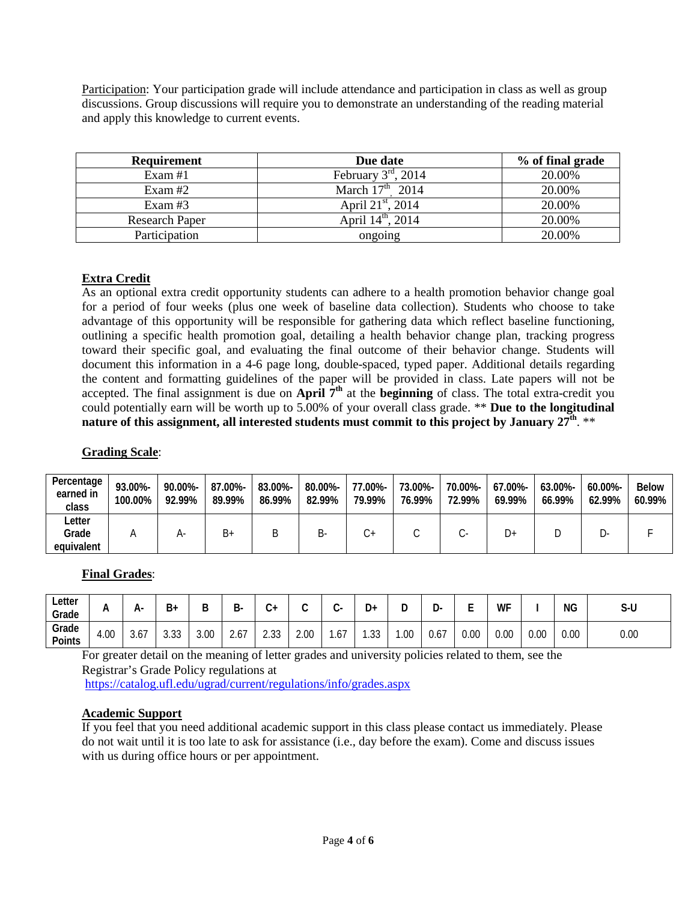Participation: Your participation grade will include attendance and participation in class as well as group discussions. Group discussions will require you to demonstrate an understanding of the reading material and apply this knowledge to current events.

| <b>Requirement</b>    | Due date                      | % of final grade |
|-----------------------|-------------------------------|------------------|
| Exam $#1$             | February $3rd$ , 2014         | 20.00%           |
| Exam #2               | March $17^{\text{th}}$ 2014   | 20.00%           |
| Exam $#3$             | April $21^{\text{st}}$ , 2014 | 20.00%           |
| <b>Research Paper</b> | April $14^{\text{th}}$ , 2014 | 20.00%           |
| Participation         | ongoing                       | 20.00%           |

# **Extra Credit**

As an optional extra credit opportunity students can adhere to a health promotion behavior change goal for a period of four weeks (plus one week of baseline data collection). Students who choose to take advantage of this opportunity will be responsible for gathering data which reflect baseline functioning, outlining a specific health promotion goal, detailing a health behavior change plan, tracking progress toward their specific goal, and evaluating the final outcome of their behavior change. Students will document this information in a 4-6 page long, double-spaced, typed paper. Additional details regarding the content and formatting guidelines of the paper will be provided in class. Late papers will not be accepted. The final assignment is due on **April 7th** at the **beginning** of class. The total extra-credit you could potentially earn will be worth up to 5.00% of your overall class grade. \*\* **Due to the longitudinal nature of this assignment, all interested students must commit to this project by January 27<sup>th</sup>. \*\*** 

#### **Grading Scale**:

| Percentage<br>earned in<br>class | 93.00%-<br>100.00% | 90.00%-<br>92.99% | 87.00%-<br>89.99% | 83.00%-<br>86.99% | 80.00%-<br>82.99% | 77.00%-<br>79.99% | 73.00%-<br>76.99% | 70.00%-<br>72.99% | 67.00%-<br>69.99% | $63.00\%$ -<br>66.99% | 60.00%-<br>62.99% | <b>Below</b><br>60.99% |
|----------------------------------|--------------------|-------------------|-------------------|-------------------|-------------------|-------------------|-------------------|-------------------|-------------------|-----------------------|-------------------|------------------------|
| ∟etter<br>Grade<br>equivalent    |                    | n-                | B+                | Β                 | כ-                |                   |                   |                   | D+                |                       |                   |                        |

# **Final Grades**:

| ∟etter<br>Grade | $\cdots$ | ப் -<br>$\cdots$ | B+                    | D<br>D | D<br>∽-<br>◡                 | ⌒<br>+ں         | $\sim$ | ⌒<br>ີ    | n<br>υ٠          | Ð<br>ັ | -<br><br>ັ | -<br>- | <b>WF</b> |      | ΝG   | S-U  |
|-----------------|----------|------------------|-----------------------|--------|------------------------------|-----------------|--------|-----------|------------------|--------|------------|--------|-----------|------|------|------|
| Grade<br>Points | 4.00     | $\sim$<br>3.O I  | $\Omega$<br>◠<br>ა.აა | 3.00   | $\sim$ $\sim$ $\sim$<br>2.6' | າ າາ<br>ں ں ، ے | 2.00   | 1/7<br>.o | $\Omega$<br>ں ں. | .00    | 0.67       | 0.00   | $0.00\,$  | 0.00 | 0.00 | 0.00 |

For greater detail on the meaning of letter grades and university policies related to them, see the Registrar's Grade Policy regulations at <https://catalog.ufl.edu/ugrad/current/regulations/info/grades.aspx>

#### **Academic Support**

If you feel that you need additional academic support in this class please contact us immediately. Please do not wait until it is too late to ask for assistance (i.e., day before the exam). Come and discuss issues with us during office hours or per appointment.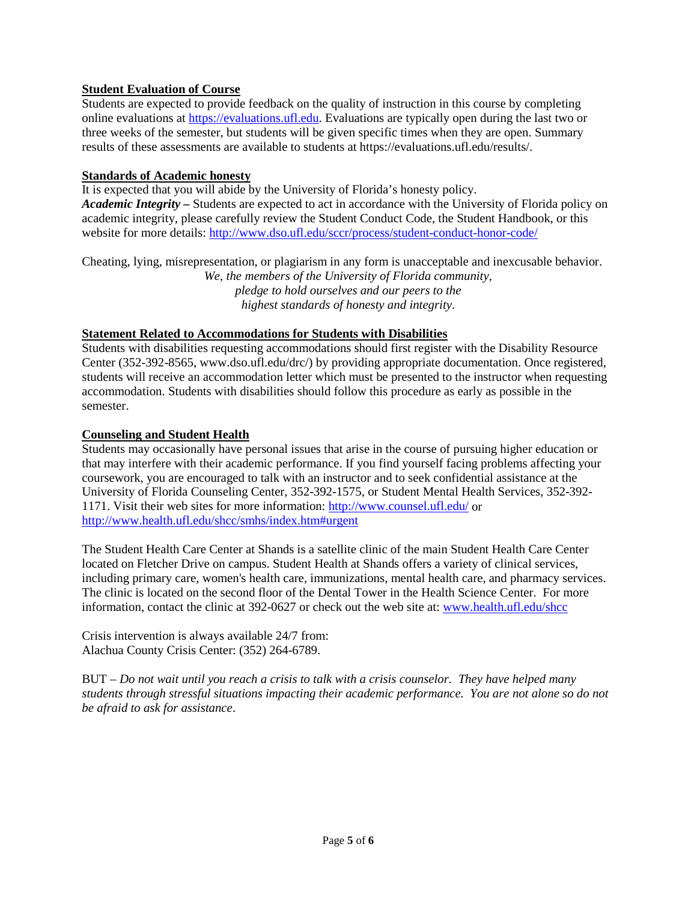# **Student Evaluation of Course**

Students are expected to provide feedback on the quality of instruction in this course by completing online evaluations at [https://evaluations.ufl.edu.](https://evaluations.ufl.edu/) Evaluations are typically open during the last two or three weeks of the semester, but students will be given specific times when they are open. Summary results of these assessments are available to students at https://evaluations.ufl.edu/results/.

## **Standards of Academic honesty**

It is expected that you will abide by the University of Florida's honesty policy. *Academic Integrity –* Students are expected to act in accordance with the University of Florida policy on academic integrity, please carefully review the Student Conduct Code, the Student Handbook, or this website for more details: <http://www.dso.ufl.edu/sccr/process/student-conduct-honor-code/>

Cheating, lying, misrepresentation, or plagiarism in any form is unacceptable and inexcusable behavior. *We, the members of the University of Florida community, pledge to hold ourselves and our peers to the highest standards of honesty and integrity.*

## **Statement Related to Accommodations for Students with Disabilities**

Students with disabilities requesting accommodations should first register with the Disability Resource Center (352-392-8565, www.dso.ufl.edu/drc/) by providing appropriate documentation. Once registered, students will receive an accommodation letter which must be presented to the instructor when requesting accommodation. Students with disabilities should follow this procedure as early as possible in the semester.

### **Counseling and Student Health**

Students may occasionally have personal issues that arise in the course of pursuing higher education or that may interfere with their academic performance. If you find yourself facing problems affecting your coursework, you are encouraged to talk with an instructor and to seek confidential assistance at the University of Florida Counseling Center, 352-392-1575, or Student Mental Health Services, 352-392- 1171. Visit their web sites for more information:<http://www.counsel.ufl.edu/> or <http://www.health.ufl.edu/shcc/smhs/index.htm#urgent>

The Student Health Care Center at Shands is a satellite clinic of the main Student Health Care Center located on Fletcher Drive on campus. Student Health at Shands offers a variety of clinical services, including primary care, women's health care, immunizations, mental health care, and pharmacy services. The clinic is located on the second floor of the Dental Tower in the Health Science Center. For more information, contact the clinic at 392-0627 or check out the web site at: [www.health.ufl.edu/shcc](http://www.health.ufl.edu/shcc)

Crisis intervention is always available 24/7 from: Alachua County Crisis Center: (352) 264-6789.

BUT – *Do not wait until you reach a crisis to talk with a crisis counselor. They have helped many students through stressful situations impacting their academic performance. You are not alone so do not be afraid to ask for assistance*.